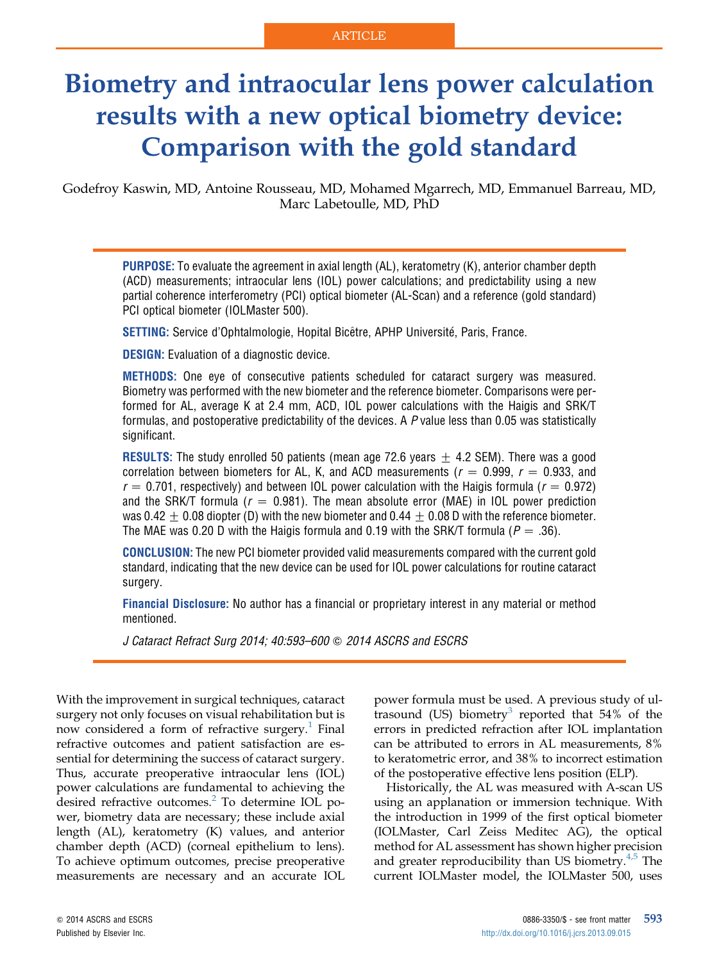# Biometry and intraocular lens power calculation results with a new optical biometry device: Comparison with the gold standard

Godefroy Kaswin, MD, Antoine Rousseau, MD, Mohamed Mgarrech, MD, Emmanuel Barreau, MD, Marc Labetoulle, MD, PhD

PURPOSE: To evaluate the agreement in axial length (AL), keratometry (K), anterior chamber depth (ACD) measurements; intraocular lens (IOL) power calculations; and predictability using a new partial coherence interferometry (PCI) optical biometer (AL-Scan) and a reference (gold standard) PCI optical biometer (IOLMaster 500).

SETTING: Service d'Ophtalmologie, Hopital Bicêtre, APHP Université, Paris, France.

**DESIGN:** Evaluation of a diagnostic device.

METHODS: One eye of consecutive patients scheduled for cataract surgery was measured. Biometry was performed with the new biometer and the reference biometer. Comparisons were performed for AL, average K at 2.4 mm, ACD, IOL power calculations with the Haigis and SRK/T formulas, and postoperative predictability of the devices. A P value less than 0.05 was statistically significant.

**RESULTS:** The study enrolled 50 patients (mean age 72.6 years  $\pm$  4.2 SEM). There was a good correlation between biometers for AL, K, and ACD measurements ( $r = 0.999$ ,  $r = 0.933$ , and  $r = 0.701$ , respectively) and between IOL power calculation with the Haigis formula ( $r = 0.972$ ) and the SRK/T formula ( $r = 0.981$ ). The mean absolute error (MAE) in IOL power prediction was 0.42  $\pm$  0.08 diopter (D) with the new biometer and 0.44  $\pm$  0.08 D with the reference biometer. The MAE was 0.20 D with the Haigis formula and 0.19 with the SRK/T formula ( $P = .36$ ).

CONCLUSION: The new PCI biometer provided valid measurements compared with the current gold standard, indicating that the new device can be used for IOL power calculations for routine cataract surgery.

Financial Disclosure: No author has a financial or proprietary interest in any material or method mentioned.

J Cataract Refract Surg 2014; 40:593-600  $\odot$  2014 ASCRS and ESCRS

With the improvement in surgical techniques, cataract surgery not only focuses on visual rehabilitation but is now considered a form of refractive surgery.<sup>[1](#page-6-0)</sup> Final refractive outcomes and patient satisfaction are essential for determining the success of cataract surgery. Thus, accurate preoperative intraocular lens (IOL) power calculations are fundamental to achieving the desired refractive outcomes. ${}^{2}$  To determine IOL power, biometry data are necessary; these include axial length (AL), keratometry (K) values, and anterior chamber depth (ACD) (corneal epithelium to lens). To achieve optimum outcomes, precise preoperative measurements are necessary and an accurate IOL power formula must be used. A previous study of ul-trasound (US) biometry<sup>[3](#page-6-0)</sup> reported that  $54\%$  of the errors in predicted refraction after IOL implantation can be attributed to errors in AL measurements, 8% to keratometric error, and 38% to incorrect estimation of the postoperative effective lens position (ELP).

Historically, the AL was measured with A-scan US using an applanation or immersion technique. With the introduction in 1999 of the first optical biometer (IOLMaster, Carl Zeiss Meditec AG), the optical method for AL assessment has shown higher precision and greater reproducibility than US biometry. $4,5$  The current IOLMaster model, the IOLMaster 500, uses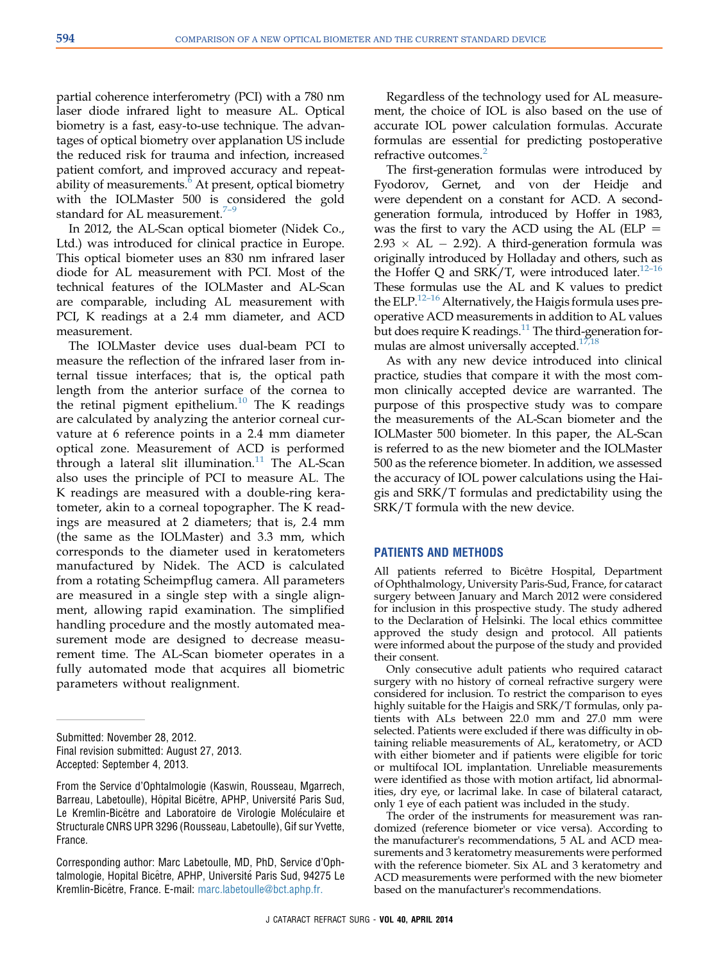partial coherence interferometry (PCI) with a 780 nm laser diode infrared light to measure AL. Optical biometry is a fast, easy-to-use technique. The advantages of optical biometry over applanation US include the reduced risk for trauma and infection, increased patient comfort, and improved accuracy and repeatability of measurements. $6$  At present, optical biometry with the IOLMaster 500 is considered the gold standard for AL measurement. $7-9$  $7-9$ 

In 2012, the AL-Scan optical biometer (Nidek Co., Ltd.) was introduced for clinical practice in Europe. This optical biometer uses an 830 nm infrared laser diode for AL measurement with PCI. Most of the technical features of the IOLMaster and AL-Scan are comparable, including AL measurement with PCI, K readings at a 2.4 mm diameter, and ACD measurement.

The IOLMaster device uses dual-beam PCI to measure the reflection of the infrared laser from internal tissue interfaces; that is, the optical path length from the anterior surface of the cornea to the retinal pigment epithelium.[10](#page-6-0) The K readings are calculated by analyzing the anterior corneal curvature at 6 reference points in a 2.4 mm diameter optical zone. Measurement of ACD is performed through a lateral slit illumination.<sup>[11](#page-7-0)</sup> The AL-Scan also uses the principle of PCI to measure AL. The K readings are measured with a double-ring keratometer, akin to a corneal topographer. The K readings are measured at 2 diameters; that is, 2.4 mm (the same as the IOLMaster) and 3.3 mm, which corresponds to the diameter used in keratometers manufactured by Nidek. The ACD is calculated from a rotating Scheimpflug camera. All parameters are measured in a single step with a single alignment, allowing rapid examination. The simplified handling procedure and the mostly automated measurement mode are designed to decrease measurement time. The AL-Scan biometer operates in a fully automated mode that acquires all biometric parameters without realignment.

Regardless of the technology used for AL measurement, the choice of IOL is also based on the use of accurate IOL power calculation formulas. Accurate formulas are essential for predicting postoperative refractive outcomes.<sup>[2](#page-6-0)</sup>

The first-generation formulas were introduced by Fyodorov, Gernet, and von der Heidje and were dependent on a constant for ACD. A secondgeneration formula, introduced by Hoffer in 1983, was the first to vary the ACD using the AL ( $ELP =$  $2.93 \times AL - 2.92$ ). A third-generation formula was originally introduced by Holladay and others, such as the Hoffer Q and SRK/T, were introduced later.<sup>[12](#page-7-0)-16</sup> These formulas use the AL and K values to predict the ELP.<sup>[12](#page-7-0)-16</sup> Alternatively, the Haigis formula uses preoperative ACD measurements in addition to AL values but does require K readings. $11$  The third-generation formulas are almost universally accepted.<sup>17,18</sup>

As with any new device introduced into clinical practice, studies that compare it with the most common clinically accepted device are warranted. The purpose of this prospective study was to compare the measurements of the AL-Scan biometer and the IOLMaster 500 biometer. In this paper, the AL-Scan is referred to as the new biometer and the IOLMaster 500 as the reference biometer. In addition, we assessed the accuracy of IOL power calculations using the Haigis and SRK/T formulas and predictability using the SRK/T formula with the new device.

#### PATIENTS AND METHODS

All patients referred to Bicêtre Hospital, Department of Ophthalmology, University Paris-Sud, France, for cataract surgery between January and March 2012 were considered for inclusion in this prospective study. The study adhered to the Declaration of Helsinki. The local ethics committee approved the study design and protocol. All patients were informed about the purpose of the study and provided their consent.

Only consecutive adult patients who required cataract surgery with no history of corneal refractive surgery were considered for inclusion. To restrict the comparison to eyes highly suitable for the Haigis and SRK/T formulas, only patients with ALs between 22.0 mm and 27.0 mm were selected. Patients were excluded if there was difficulty in obtaining reliable measurements of AL, keratometry, or ACD with either biometer and if patients were eligible for toric or multifocal IOL implantation. Unreliable measurements were identified as those with motion artifact, lid abnormalities, dry eye, or lacrimal lake. In case of bilateral cataract, only 1 eye of each patient was included in the study.

The order of the instruments for measurement was randomized (reference biometer or vice versa). According to the manufacturer's recommendations, 5 AL and ACD measurements and 3 keratometry measurements were performed with the reference biometer. Six AL and 3 keratometry and ACD measurements were performed with the new biometer based on the manufacturer's recommendations.

Submitted: November 28, 2012. Final revision submitted: August 27, 2013. Accepted: September 4, 2013.

From the Service d'Ophtalmologie (Kaswin, Rousseau, Mgarrech, Barreau, Labetoulle), Hôpital Bicêtre, APHP, Université Paris Sud, Le Kremlin-Bicêtre and Laboratoire de Virologie Moléculaire et Structurale CNRS UPR 3296 (Rousseau, Labetoulle), Gif sur Yvette, France.

Corresponding author: Marc Labetoulle, MD, PhD, Service d'Ophtalmologie, Hopital Bicêtre, APHP, Université Paris Sud, 94275 Le Kremlin-Bicêtre, France. E-mail: [marc.labetoulle@bct.aphp.fr.](mailto:marc.labetoulle@bct.aphp.fr)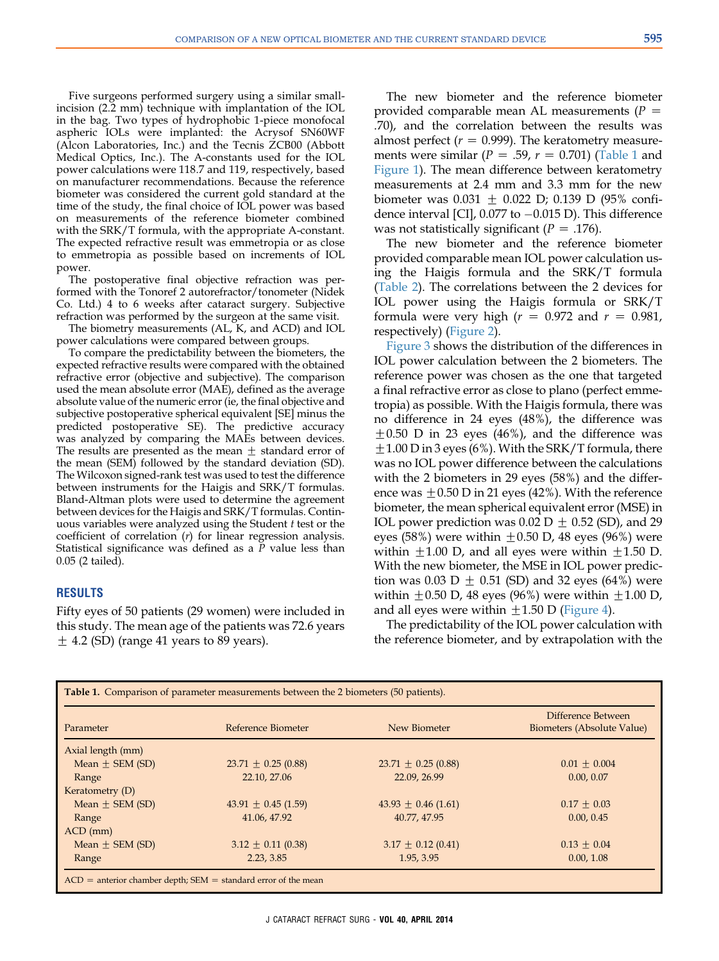Five surgeons performed surgery using a similar smallincision (2.2 mm) technique with implantation of the IOL in the bag. Two types of hydrophobic 1-piece monofocal aspheric IOLs were implanted: the Acrysof SN60WF (Alcon Laboratories, Inc.) and the Tecnis ZCB00 (Abbott Medical Optics, Inc.). The A-constants used for the IOL power calculations were 118.7 and 119, respectively, based on manufacturer recommendations. Because the reference biometer was considered the current gold standard at the time of the study, the final choice of IOL power was based on measurements of the reference biometer combined with the SRK/T formula, with the appropriate A-constant. The expected refractive result was emmetropia or as close to emmetropia as possible based on increments of IOL power.

The postoperative final objective refraction was performed with the Tonoref 2 autorefractor/tonometer (Nidek Co. Ltd.) 4 to 6 weeks after cataract surgery. Subjective refraction was performed by the surgeon at the same visit.

The biometry measurements (AL, K, and ACD) and IOL power calculations were compared between groups.

To compare the predictability between the biometers, the expected refractive results were compared with the obtained refractive error (objective and subjective). The comparison used the mean absolute error (MAE), defined as the average absolute value of the numeric error (ie, the final objective and subjective postoperative spherical equivalent [SE] minus the predicted postoperative SE). The predictive accuracy was analyzed by comparing the MAEs between devices. The results are presented as the mean  $\pm$  standard error of the mean (SEM) followed by the standard deviation (SD). The Wilcoxon signed-rank test was used to test the difference between instruments for the Haigis and SRK/T formulas. Bland-Altman plots were used to determine the agreement between devices for the Haigis and SRK/T formulas. Continuous variables were analyzed using the Student t test or the coefficient of correlation (r) for linear regression analysis. Statistical significance was defined as a P value less than 0.05 (2 tailed).

# RESULTS

Fifty eyes of 50 patients (29 women) were included in this study. The mean age of the patients was 72.6 years  $\pm$  4.2 (SD) (range 41 years to 89 years).

The new biometer and the reference biometer provided comparable mean AL measurements  $(P =$ .70), and the correlation between the results was almost perfect ( $r = 0.999$ ). The keratometry measurements were similar ( $P = .59$ ,  $r = 0.701$ ) (Table 1 and [Figure 1](#page-3-0)). The mean difference between keratometry measurements at 2.4 mm and 3.3 mm for the new biometer was 0.031  $\pm$  0.022 D; 0.139 D (95% confidence interval [CI],  $0.077$  to  $-0.015$  D). This difference was not statistically significant ( $P = .176$ ).

The new biometer and the reference biometer provided comparable mean IOL power calculation using the Haigis formula and the SRK/T formula ([Table 2](#page-4-0)). The correlations between the 2 devices for IOL power using the Haigis formula or SRK/T formula were very high ( $r = 0.972$  and  $r = 0.981$ , respectively) ([Figure 2](#page-4-0)).

[Figure 3](#page-4-0) shows the distribution of the differences in IOL power calculation between the 2 biometers. The reference power was chosen as the one that targeted a final refractive error as close to plano (perfect emmetropia) as possible. With the Haigis formula, there was no difference in 24 eyes (48%), the difference was  $\pm 0.50$  D in 23 eyes (46%), and the difference was  $\pm$ 1.00 D in 3 eyes (6%). With the SRK/T formula, there was no IOL power difference between the calculations with the 2 biometers in 29 eyes (58%) and the difference was  $\pm 0.50$  D in 21 eyes (42%). With the reference biometer, the mean spherical equivalent error (MSE) in IOL power prediction was 0.02 D  $\pm$  0.52 (SD), and 29 eyes (58%) were within  $\pm 0.50$  D, 48 eyes (96%) were within  $\pm 1.00$  D, and all eyes were within  $\pm 1.50$  D. With the new biometer, the MSE in IOL power prediction was 0.03 D  $\pm$  0.51 (SD) and 32 eyes (64%) were within  $\pm 0.50$  D, 48 eyes (96%) were within  $\pm 1.00$  D, and all eyes were within  $\pm 1.50$  D ([Figure 4\)](#page-5-0).

The predictability of the IOL power calculation with the reference biometer, and by extrapolation with the

| <b>Table 1.</b> Comparison of parameter measurements between the 2 biometers (50 patients). |                                                                    |                         |                                                  |  |
|---------------------------------------------------------------------------------------------|--------------------------------------------------------------------|-------------------------|--------------------------------------------------|--|
| Parameter                                                                                   | Reference Biometer                                                 | New Biometer            | Difference Between<br>Biometers (Absolute Value) |  |
| Axial length (mm)                                                                           |                                                                    |                         |                                                  |  |
| Mean $\pm$ SEM (SD)                                                                         | $23.71 \pm 0.25$ (0.88)                                            | $23.71 \pm 0.25$ (0.88) | $0.01 \pm 0.004$                                 |  |
| Range                                                                                       | 22.10, 27.06                                                       | 22.09, 26.99            | 0.00, 0.07                                       |  |
| Keratometry (D)                                                                             |                                                                    |                         |                                                  |  |
| Mean $\pm$ SEM (SD)                                                                         | $43.91 \pm 0.45$ (1.59)                                            | $43.93 \pm 0.46$ (1.61) | $0.17 \pm 0.03$                                  |  |
| Range                                                                                       | 41.06, 47.92                                                       | 40.77, 47.95            | 0.00, 0.45                                       |  |
| $ACD$ (mm)                                                                                  |                                                                    |                         |                                                  |  |
| Mean $\pm$ SEM (SD)                                                                         | $3.12 \pm 0.11$ (0.38)                                             | $3.17 \pm 0.12$ (0.41)  | $0.13 \pm 0.04$                                  |  |
| Range                                                                                       | 2.23, 3.85                                                         | 1.95, 3.95              | 0.00, 1.08                                       |  |
|                                                                                             | $ACD$ = anterior chamber depth; $SEM$ = standard error of the mean |                         |                                                  |  |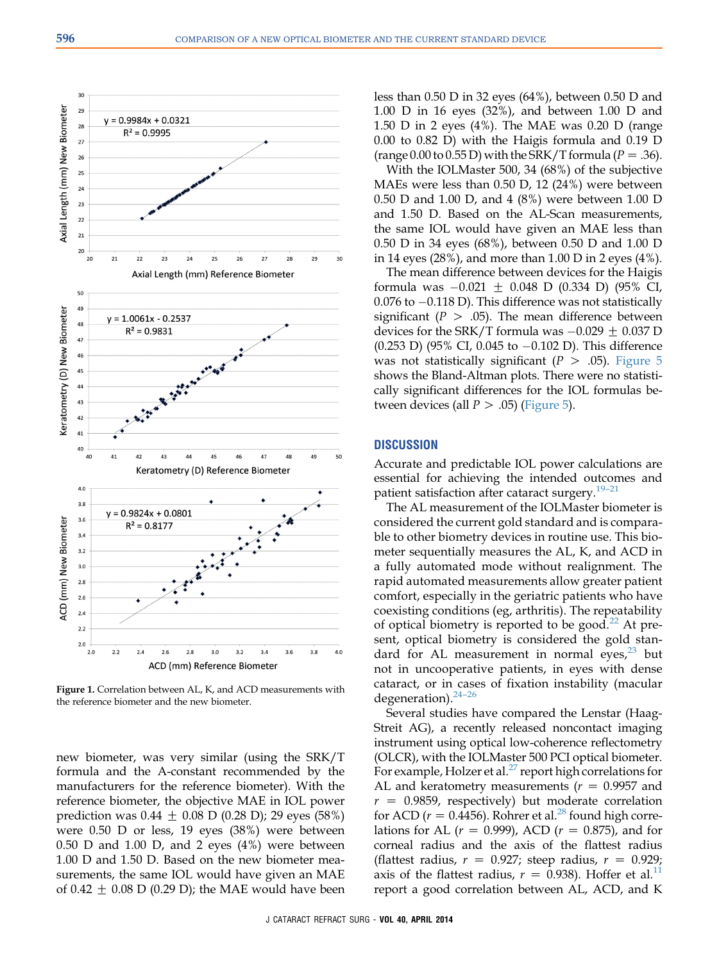<span id="page-3-0"></span>

Figure 1. Correlation between AL, K, and ACD measurements with the reference biometer and the new biometer.

new biometer, was very similar (using the SRK/T formula and the A-constant recommended by the manufacturers for the reference biometer). With the reference biometer, the objective MAE in IOL power prediction was  $0.44 \pm 0.08$  D (0.28 D); 29 eyes (58%) were 0.50 D or less, 19 eyes (38%) were between  $0.50$  D and  $1.00$  D, and 2 eyes  $(4%)$  were between 1.00 D and 1.50 D. Based on the new biometer measurements, the same IOL would have given an MAE of 0.42  $\pm$  0.08 D (0.29 D); the MAE would have been

less than 0.50 D in 32 eyes (64%), between 0.50 D and 1.00 D in 16 eyes (32%), and between 1.00 D and 1.50 D in 2 eyes (4%). The MAE was 0.20 D (range 0.00 to 0.82 D) with the Haigis formula and 0.19 D (range 0.00 to 0.55 D) with the SRK/T formula ( $P=.36$ ).

With the IOLMaster 500, 34 (68%) of the subjective MAEs were less than 0.50 D, 12 (24%) were between 0.50 D and 1.00 D, and 4 (8%) were between 1.00 D and 1.50 D. Based on the AL-Scan measurements, the same IOL would have given an MAE less than 0.50 D in 34 eyes (68%), between 0.50 D and 1.00 D in 14 eyes (28%), and more than 1.00 D in 2 eyes (4%).

The mean difference between devices for the Haigis formula was  $-0.021 \pm 0.048$  D (0.334 D) (95% CI,  $0.076$  to  $-0.118$  D). This difference was not statistically significant ( $P > .05$ ). The mean difference between devices for the SRK/T formula was  $-0.029 \pm 0.037$  D (0.253 D) (95% CI, 0.045 to  $-0.102$  D). This difference was not statistically significant ( $P > .05$ ). [Figure 5](#page-5-0) shows the Bland-Altman plots. There were no statistically significant differences for the IOL formulas between devices (all  $P > .05$ ) [\(Figure 5\)](#page-5-0).

#### **DISCUSSION**

Accurate and predictable IOL power calculations are essential for achieving the intended outcomes and patient satisfaction after cataract surgery.<sup>[19](#page-7-0)-21</sup>

The AL measurement of the IOLMaster biometer is considered the current gold standard and is comparable to other biometry devices in routine use. This biometer sequentially measures the AL, K, and ACD in a fully automated mode without realignment. The rapid automated measurements allow greater patient comfort, especially in the geriatric patients who have coexisting conditions (eg, arthritis). The repeatability of optical biometry is reported to be good.<sup>[22](#page-7-0)</sup> At present, optical biometry is considered the gold standard for AL measurement in normal eyes, $23$  but not in uncooperative patients, in eyes with dense cataract, or in cases of fixation instability (macular degeneration). $24-26$  $24-26$ 

Several studies have compared the Lenstar (Haag-Streit AG), a recently released noncontact imaging instrument using optical low-coherence reflectometry (OLCR), with the IOLMaster 500 PCI optical biometer. For example, Holzer et al.<sup>[27](#page-7-0)</sup> report high correlations for AL and keratometry measurements ( $r = 0.9957$  and  $r = 0.9859$ , respectively) but moderate correlation for ACD ( $r = 0.4456$ ). Rohrer et al.<sup>28</sup> found high correlations for AL ( $r = 0.999$ ), ACD ( $r = 0.875$ ), and for corneal radius and the axis of the flattest radius (flattest radius,  $r = 0.927$ ; steep radius,  $r = 0.929$ ; axis of the flattest radius,  $r = 0.938$ ). Hoffer et al.<sup>[11](#page-7-0)</sup> report a good correlation between AL, ACD, and K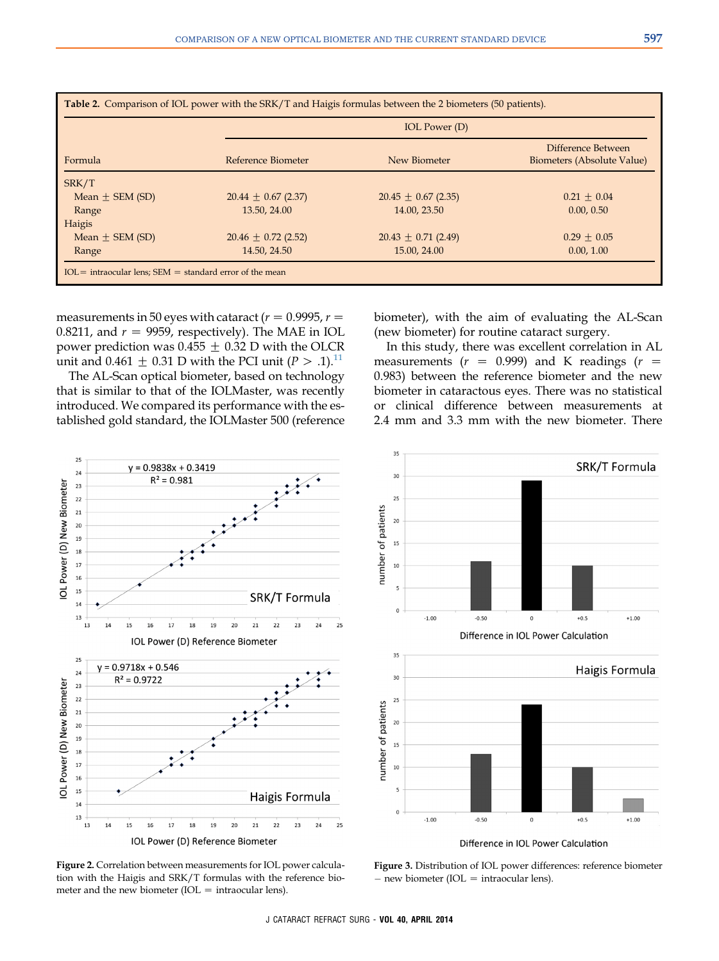<span id="page-4-0"></span>

| Formula             | <b>IOL</b> Power (D)    |                         |                                                  |  |
|---------------------|-------------------------|-------------------------|--------------------------------------------------|--|
|                     | Reference Biometer      | New Biometer            | Difference Between<br>Biometers (Absolute Value) |  |
| SRK/T               |                         |                         |                                                  |  |
| Mean $\pm$ SEM (SD) | $20.44 \pm 0.67$ (2.37) | $20.45 \pm 0.67$ (2.35) | $0.21 \pm 0.04$                                  |  |
| Range               | 13.50, 24.00            | 14.00, 23.50            | 0.00, 0.50                                       |  |
| Haigis              |                         |                         |                                                  |  |
| Mean $\pm$ SEM (SD) | $20.46 \pm 0.72$ (2.52) | $20.43 \pm 0.71$ (2.49) | $0.29 + 0.05$                                    |  |
| Range               | 14.50, 24.50            | 15.00, 24.00            | 0.00, 1.00                                       |  |

measurements in 50 eyes with cataract ( $r = 0.9995$ ,  $r =$ 0.8211, and  $r = 9959$ , respectively). The MAE in IOL power prediction was 0.455  $\pm$  0.32 D with the OLCR unit and 0.461  $\pm$  0.31 D with the PCI unit (P > .1).<sup>[11](#page-7-0)</sup>

The AL-Scan optical biometer, based on technology that is similar to that of the IOLMaster, was recently introduced. We compared its performance with the established gold standard, the IOLMaster 500 (reference biometer), with the aim of evaluating the AL-Scan (new biometer) for routine cataract surgery.

In this study, there was excellent correlation in AL measurements ( $r = 0.999$ ) and K readings ( $r =$ 0.983) between the reference biometer and the new biometer in cataractous eyes. There was no statistical or clinical difference between measurements at 2.4 mm and 3.3 mm with the new biometer. There





Difference in IOL Power Calculation

Figure 2. Correlation between measurements for IOL power calculation with the Haigis and SRK/T formulas with the reference biometer and the new biometer ( $IOL = intraocular lens$ ).

Figure 3. Distribution of IOL power differences: reference biometer  $-$  new biometer (IOL  $=$  intraocular lens).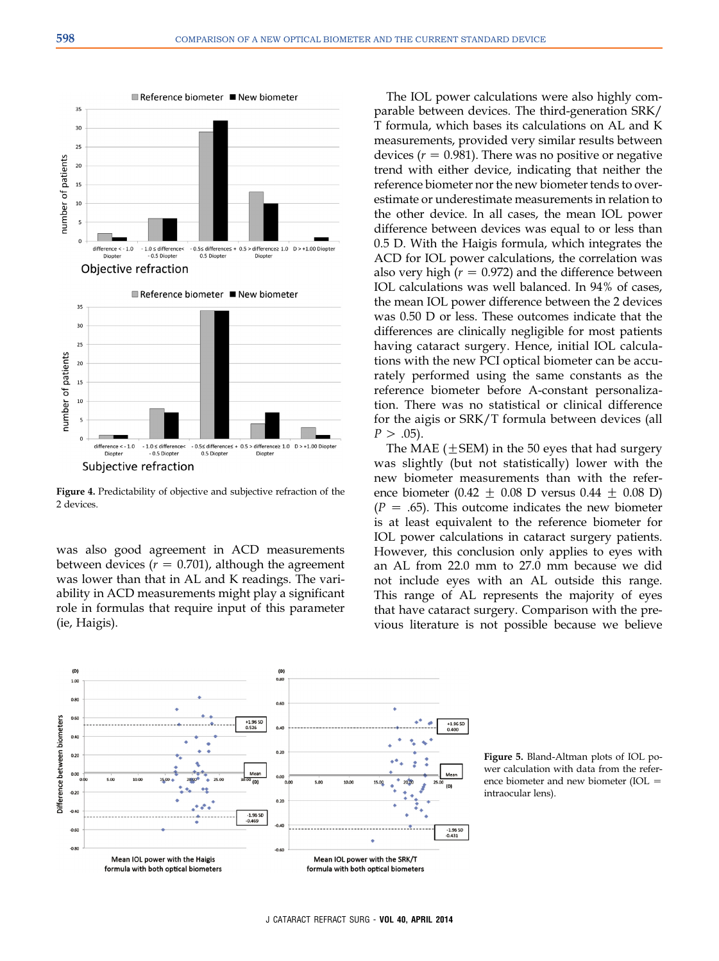<span id="page-5-0"></span>



Figure 4. Predictability of objective and subjective refraction of the 2 devices.

was also good agreement in ACD measurements between devices ( $r = 0.701$ ), although the agreement was lower than that in AL and K readings. The variability in ACD measurements might play a significant role in formulas that require input of this parameter (ie, Haigis).

The IOL power calculations were also highly comparable between devices. The third-generation SRK/ T formula, which bases its calculations on AL and K measurements, provided very similar results between devices ( $r = 0.981$ ). There was no positive or negative trend with either device, indicating that neither the reference biometer nor the new biometer tends to overestimate or underestimate measurements in relation to the other device. In all cases, the mean IOL power difference between devices was equal to or less than 0.5 D. With the Haigis formula, which integrates the ACD for IOL power calculations, the correlation was also very high ( $r = 0.972$ ) and the difference between IOL calculations was well balanced. In 94% of cases, the mean IOL power difference between the 2 devices was 0.50 D or less. These outcomes indicate that the differences are clinically negligible for most patients having cataract surgery. Hence, initial IOL calculations with the new PCI optical biometer can be accurately performed using the same constants as the reference biometer before A-constant personalization. There was no statistical or clinical difference for the aigis or SRK/T formula between devices (all  $P > .05$ ).

The MAE ( $\pm$ SEM) in the 50 eyes that had surgery was slightly (but not statistically) lower with the new biometer measurements than with the reference biometer (0.42  $\pm$  0.08 D versus 0.44  $\pm$  0.08 D)  $(P = .65)$ . This outcome indicates the new biometer is at least equivalent to the reference biometer for IOL power calculations in cataract surgery patients. However, this conclusion only applies to eyes with an AL from 22.0 mm to 27.0 mm because we did not include eyes with an AL outside this range. This range of AL represents the majority of eyes that have cataract surgery. Comparison with the previous literature is not possible because we believe



Figure 5. Bland-Altman plots of IOL power calculation with data from the reference biometer and new biometer (IOL  $=$ intraocular lens).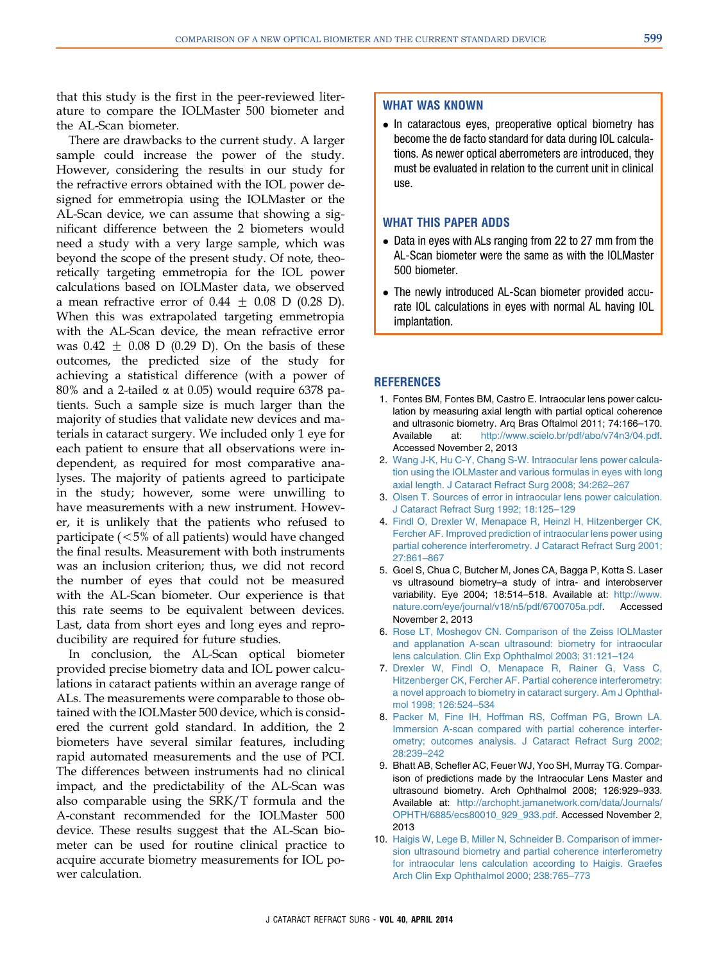<span id="page-6-0"></span>that this study is the first in the peer-reviewed literature to compare the IOLMaster 500 biometer and the AL-Scan biometer.

There are drawbacks to the current study. A larger sample could increase the power of the study. However, considering the results in our study for the refractive errors obtained with the IOL power designed for emmetropia using the IOLMaster or the AL-Scan device, we can assume that showing a significant difference between the 2 biometers would need a study with a very large sample, which was beyond the scope of the present study. Of note, theoretically targeting emmetropia for the IOL power calculations based on IOLMaster data, we observed a mean refractive error of  $0.44 \pm 0.08$  D (0.28 D). When this was extrapolated targeting emmetropia with the AL-Scan device, the mean refractive error was  $0.42 + 0.08$  D (0.29 D). On the basis of these outcomes, the predicted size of the study for achieving a statistical difference (with a power of  $80\%$  and a 2-tailed  $\alpha$  at 0.05) would require 6378 patients. Such a sample size is much larger than the majority of studies that validate new devices and materials in cataract surgery. We included only 1 eye for each patient to ensure that all observations were independent, as required for most comparative analyses. The majority of patients agreed to participate in the study; however, some were unwilling to have measurements with a new instrument. However, it is unlikely that the patients who refused to participate  $(<5%$  of all patients) would have changed the final results. Measurement with both instruments was an inclusion criterion; thus, we did not record the number of eyes that could not be measured with the AL-Scan biometer. Our experience is that this rate seems to be equivalent between devices. Last, data from short eyes and long eyes and reproducibility are required for future studies.

In conclusion, the AL-Scan optical biometer provided precise biometry data and IOL power calculations in cataract patients within an average range of ALs. The measurements were comparable to those obtained with the IOLMaster 500 device, which is considered the current gold standard. In addition, the 2 biometers have several similar features, including rapid automated measurements and the use of PCI. The differences between instruments had no clinical impact, and the predictability of the AL-Scan was also comparable using the SRK/T formula and the A-constant recommended for the IOLMaster 500 device. These results suggest that the AL-Scan biometer can be used for routine clinical practice to acquire accurate biometry measurements for IOL power calculation.

# WHAT WAS KNOWN

• In cataractous eyes, preoperative optical biometry has become the de facto standard for data during IOL calculations. As newer optical aberrometers are introduced, they must be evaluated in relation to the current unit in clinical use.

# WHAT THIS PAPER ADDS

- Data in eyes with ALs ranging from 22 to 27 mm from the AL-Scan biometer were the same as with the IOLMaster 500 biometer.
- The newly introduced AL-Scan biometer provided accurate IOL calculations in eyes with normal AL having IOL implantation.

# **REFERENCES**

- 1. Fontes BM, Fontes BM, Castro E. Intraocular lens power calculation by measuring axial length with partial optical coherence and ultrasonic biometry. Arq Bras Oftalmol 2011; 74:166–170. Available at: [http://www.scielo.br/pdf/abo/v74n3/04.pdf.](http://www.scielo.br/pdf/abo/v74n3/04.pdf) Accessed November 2, 2013
- 2. [Wang J-K, Hu C-Y, Chang S-W. Intraocular lens power calcula](http://refhub.elsevier.com/S0886-3350(14)00017-0/sref2)[tion using the IOLMaster and various formulas in eyes with long](http://refhub.elsevier.com/S0886-3350(14)00017-0/sref2) [axial length. J Cataract Refract Surg 2008; 34:262–267](http://refhub.elsevier.com/S0886-3350(14)00017-0/sref2)
- 3. [Olsen T. Sources of error in intraocular lens power calculation.](http://refhub.elsevier.com/S0886-3350(14)00017-0/sref3) [J Cataract Refract Surg 1992; 18:125–129](http://refhub.elsevier.com/S0886-3350(14)00017-0/sref3)
- 4. [Findl O, Drexler W, Menapace R, Heinzl H, Hitzenberger CK,](http://refhub.elsevier.com/S0886-3350(14)00017-0/sref4) [Fercher AF. Improved prediction of intraocular lens power using](http://refhub.elsevier.com/S0886-3350(14)00017-0/sref4) [partial coherence interferometry. J Cataract Refract Surg 2001;](http://refhub.elsevier.com/S0886-3350(14)00017-0/sref4) [27:861–867](http://refhub.elsevier.com/S0886-3350(14)00017-0/sref4)
- 5. Goel S, Chua C, Butcher M, Jones CA, Bagga P, Kotta S. Laser vs ultrasound biometry–a study of intra- and interobserver variability. Eye 2004; 18:514-518. Available at: [http://www.](http://www.nature.com/eye/journal/v18/n5/pdf/6700705a.pdf) [nature.com/eye/journal/v18/n5/pdf/6700705a.pdf.](http://www.nature.com/eye/journal/v18/n5/pdf/6700705a.pdf) Accessed November 2, 2013
- 6. [Rose LT, Moshegov CN. Comparison of the Zeiss IOLMaster](http://refhub.elsevier.com/S0886-3350(14)00017-0/sref6) [and applanation A-scan ultrasound: biometry for intraocular](http://refhub.elsevier.com/S0886-3350(14)00017-0/sref6) [lens calculation. Clin Exp Ophthalmol 2003; 31:121–124](http://refhub.elsevier.com/S0886-3350(14)00017-0/sref6)
- 7. [Drexler W, Findl O, Menapace R, Rainer G, Vass C,](http://refhub.elsevier.com/S0886-3350(14)00017-0/sref7) [Hitzenberger CK, Fercher AF. Partial coherence interferometry:](http://refhub.elsevier.com/S0886-3350(14)00017-0/sref7) [a novel approach to biometry in cataract surgery. Am J Ophthal](http://refhub.elsevier.com/S0886-3350(14)00017-0/sref7)[mol 1998; 126:524–534](http://refhub.elsevier.com/S0886-3350(14)00017-0/sref7)
- 8. [Packer M, Fine IH, Hoffman RS, Coffman PG, Brown LA.](http://refhub.elsevier.com/S0886-3350(14)00017-0/sref8) [Immersion A-scan compared with partial coherence interfer](http://refhub.elsevier.com/S0886-3350(14)00017-0/sref8)[ometry; outcomes analysis. J Cataract Refract Surg 2002;](http://refhub.elsevier.com/S0886-3350(14)00017-0/sref8) [28:239–242](http://refhub.elsevier.com/S0886-3350(14)00017-0/sref8)
- 9. Bhatt AB, Schefler AC, Feuer WJ, Yoo SH, Murray TG. Comparison of predictions made by the Intraocular Lens Master and ultrasound biometry. Arch Ophthalmol 2008; 126:929–933. Available at: [http://archopht.jamanetwork.com/data/Journals/](http://archopht.jamanetwork.com/data/Journals/OPHTH/6885/ecs80010_929_933.pdf) [OPHTH/6885/ecs80010\\_929\\_933.pdf](http://archopht.jamanetwork.com/data/Journals/OPHTH/6885/ecs80010_929_933.pdf). Accessed November 2, 2013
- 10. [Haigis W, Lege B, Miller N, Schneider B. Comparison of immer](http://refhub.elsevier.com/S0886-3350(14)00017-0/sref10)[sion ultrasound biometry and partial coherence interferometry](http://refhub.elsevier.com/S0886-3350(14)00017-0/sref10) [for intraocular lens calculation according to Haigis. Graefes](http://refhub.elsevier.com/S0886-3350(14)00017-0/sref10) [Arch Clin Exp Ophthalmol 2000; 238:765–773](http://refhub.elsevier.com/S0886-3350(14)00017-0/sref10)